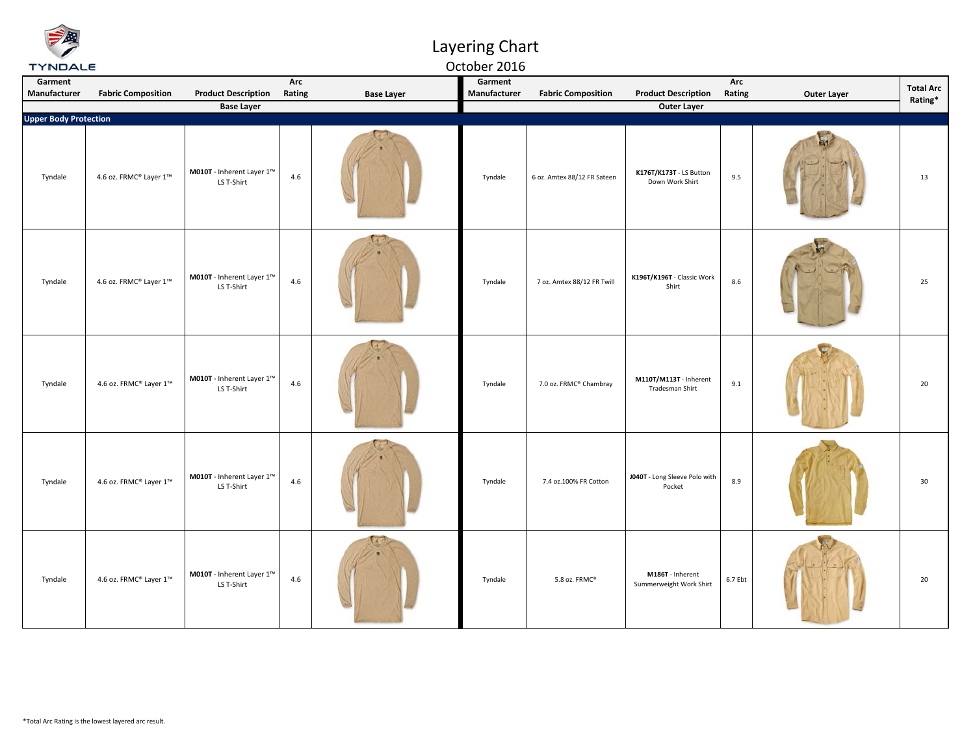| <b>TYNDALE</b>               |                           |                                                                |               |                   | October 2016            |                             |                                             |               |                    |                             |
|------------------------------|---------------------------|----------------------------------------------------------------|---------------|-------------------|-------------------------|-----------------------------|---------------------------------------------|---------------|--------------------|-----------------------------|
| Garment<br>Manufacturer      | <b>Fabric Composition</b> | <b>Product Description</b>                                     | Arc<br>Rating | <b>Base Layer</b> | Garment<br>Manufacturer | <b>Fabric Composition</b>   | <b>Product Description</b>                  | Arc<br>Rating | <b>Outer Layer</b> | <b>Total Arc</b><br>Rating* |
|                              |                           | <b>Base Layer</b>                                              |               |                   |                         |                             | <b>Outer Layer</b>                          |               |                    |                             |
| <b>Upper Body Protection</b> |                           |                                                                |               |                   |                         |                             |                                             |               |                    |                             |
| Tyndale                      | 4.6 oz. FRMC® Layer 1™    | M010T - Inherent Layer 1™<br>LS T-Shirt                        | 4.6           |                   | Tyndale                 | 6 oz. Amtex 88/12 FR Sateen | K176T/K173T - LS Button<br>Down Work Shirt  | 9.5           |                    | 13                          |
| Tyndale                      | 4.6 oz. FRMC® Layer 1™    | $\textbf{M010T}$ - Inherent Layer $1^{\text{m}}$<br>LS T-Shirt | 4.6           |                   | Tyndale                 | 7 oz. Amtex 88/12 FR Twill  | K196T/K196T - Classic Work<br>Shirt         | $8.6\,$       |                    | 25                          |
| Tyndale                      | 4.6 oz. FRMC® Layer 1™    | M010T - Inherent Layer 1™<br>LS T-Shirt                        | 4.6           |                   | Tyndale                 | 7.0 oz. FRMC® Chambray      | M110T/M113T - Inherent<br>Tradesman Shirt   | 9.1           |                    | 20                          |
| Tyndale                      | 4.6 oz. FRMC® Layer 1™    | M010T - Inherent Layer 1™<br>LS T-Shirt                        | 4.6           |                   | Tyndale                 | 7.4 oz.100% FR Cotton       | J040T - Long Sleeve Polo with<br>Pocket     | 8.9           |                    | 30                          |
| Tyndale                      | 4.6 oz. FRMC® Layer 1™    | M010T - Inherent Layer 1™<br>LS T-Shirt                        | 4.6           |                   | Tyndale                 | 5.8 oz. FRMC®               | M186T - Inherent<br>Summerweight Work Shirt | 6.7 Ebt       |                    | 20                          |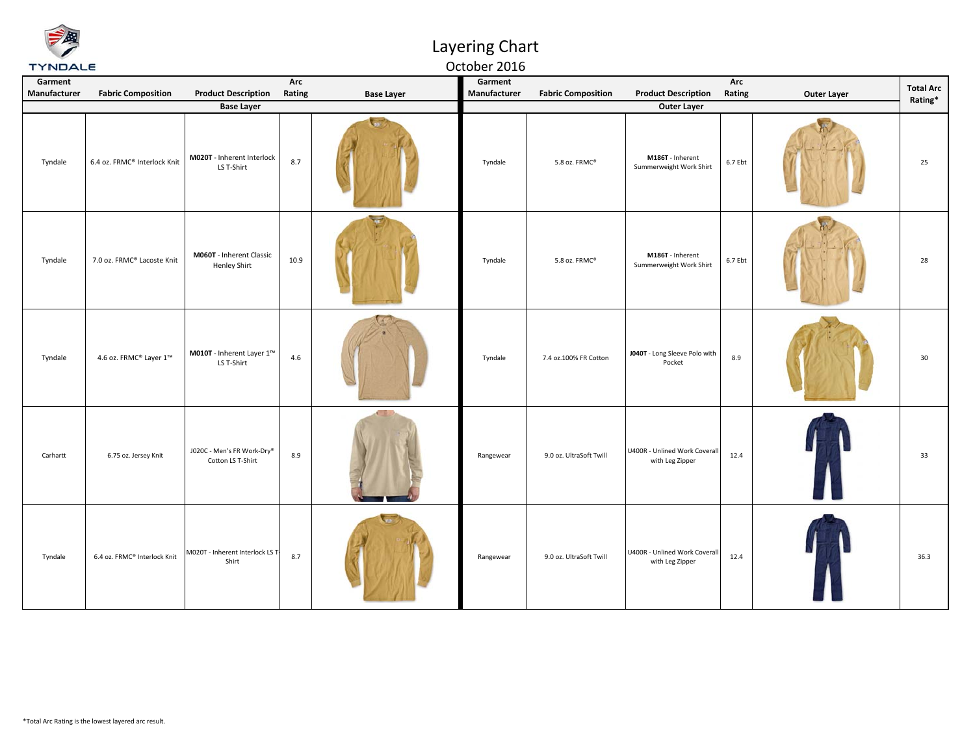## Layering Chart

#### October 2016

| Garment<br>Manufacturer | <b>Fabric Composition</b>    | <b>Product Description</b><br><b>Base Layer</b> | Arc<br>Rating | <b>Base Layer</b> | Garment<br>Manufacturer | <b>Fabric Composition</b> | <b>Product Description</b><br><b>Outer Layer</b> | Arc<br>Rating | <b>Outer Layer</b> | <b>Total Arc</b><br>Rating* |
|-------------------------|------------------------------|-------------------------------------------------|---------------|-------------------|-------------------------|---------------------------|--------------------------------------------------|---------------|--------------------|-----------------------------|
| Tyndale                 | 6.4 oz. FRMC® Interlock Knit | M020T - Inherent Interlock<br>LS T-Shirt        | 8.7           |                   | Tyndale                 | 5.8 oz. FRMC®             | M186T - Inherent<br>Summerweight Work Shirt      | 6.7 Ebt       |                    | 25                          |
| Tyndale                 | 7.0 oz. FRMC® Lacoste Knit   | M060T - Inherent Classic<br>Henley Shirt        | 10.9          |                   | Tyndale                 | 5.8 oz. FRMC®             | M186T - Inherent<br>Summerweight Work Shirt      | 6.7 Ebt       |                    | 28                          |
| Tyndale                 | 4.6 oz. FRMC® Layer 1™       | M010T - Inherent Layer 1™<br>LS T-Shirt         | 4.6           |                   | Tyndale                 | 7.4 oz.100% FR Cotton     | J040T - Long Sleeve Polo with<br>Pocket          | 8.9           |                    | 30                          |
| Carhartt                | 6.75 oz. Jersey Knit         | J020C - Men's FR Work-Dry®<br>Cotton LS T-Shirt | 8.9           |                   | Rangewear               | 9.0 oz. UltraSoft Twill   | U400R - Unlined Work Coverall<br>with Leg Zipper | 12.4          |                    | 33                          |
| Tyndale                 | 6.4 oz. FRMC® Interlock Knit | M020T - Inherent Interlock LS T<br>Shirt        | 8.7           |                   | Rangewear               | 9.0 oz. UltraSoft Twill   | U400R - Unlined Work Coverall<br>with Leg Zipper | 12.4          |                    | 36.3                        |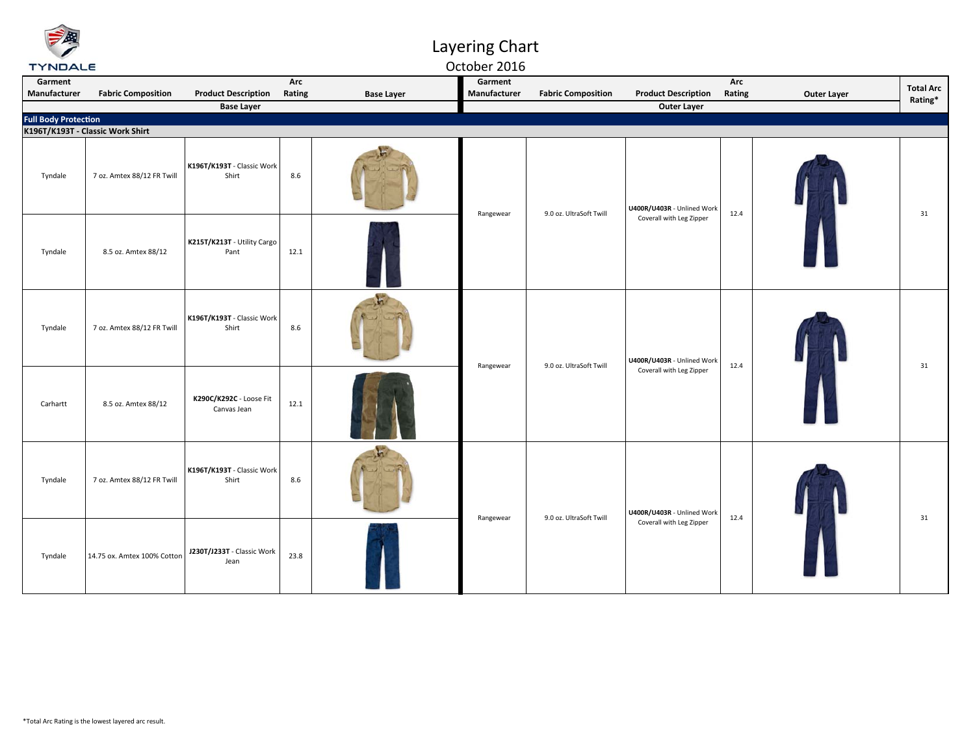### Layering Chart

October 2016

| Garment      |                                                          |                                                 | Arc    |                   | Garment      |                           |                                                  | Arc    |                    | <b>Total Arc</b> |
|--------------|----------------------------------------------------------|-------------------------------------------------|--------|-------------------|--------------|---------------------------|--------------------------------------------------|--------|--------------------|------------------|
| Manufacturer | <b>Fabric Composition</b>                                | <b>Product Description</b><br><b>Base Layer</b> | Rating | <b>Base Layer</b> | Manufacturer | <b>Fabric Composition</b> | <b>Product Description</b><br><b>Outer Layer</b> | Rating | <b>Outer Layer</b> | Rating*          |
|              |                                                          |                                                 |        |                   |              |                           |                                                  |        |                    |                  |
|              | Full Body Protection<br>K196T/K193T - Classic Work Shirt |                                                 |        |                   |              |                           |                                                  |        |                    |                  |
| Tyndale      | 7 oz. Amtex 88/12 FR Twill                               | K196T/K193T - Classic Work<br>Shirt             | 8.6    |                   |              | 9.0 oz. UltraSoft Twill   | U400R/U403R - Unlined Work                       | 12.4   |                    | 31               |
| Tyndale      | 8.5 oz. Amtex 88/12                                      | K215T/K213T - Utility Cargo<br>Pant             | 12.1   |                   | Rangewear    |                           | Coverall with Leg Zipper                         |        |                    |                  |
| Tyndale      | 7 oz. Amtex 88/12 FR Twill                               | K196T/K193T - Classic Work<br>Shirt             | 8.6    |                   |              | 9.0 oz. UltraSoft Twill   | U400R/U403R - Unlined Work                       | 12.4   |                    | 31               |
| Carhartt     | 8.5 oz. Amtex 88/12                                      | K290C/K292C - Loose Fit<br>Canvas Jean          | 12.1   |                   | Rangewear    |                           | Coverall with Leg Zipper                         |        |                    |                  |
| Tyndale      | 7 oz. Amtex 88/12 FR Twill                               | K196T/K193T - Classic Work<br>Shirt             | 8.6    |                   |              |                           | U400R/U403R - Unlined Work                       |        |                    |                  |
| Tyndale      | 14.75 ox. Amtex 100% Cotton                              | J230T/J233T - Classic Work<br>Jean              | 23.8   |                   | Rangewear    | 9.0 oz. UltraSoft Twill   | Coverall with Leg Zipper                         | 12.4   |                    | 31               |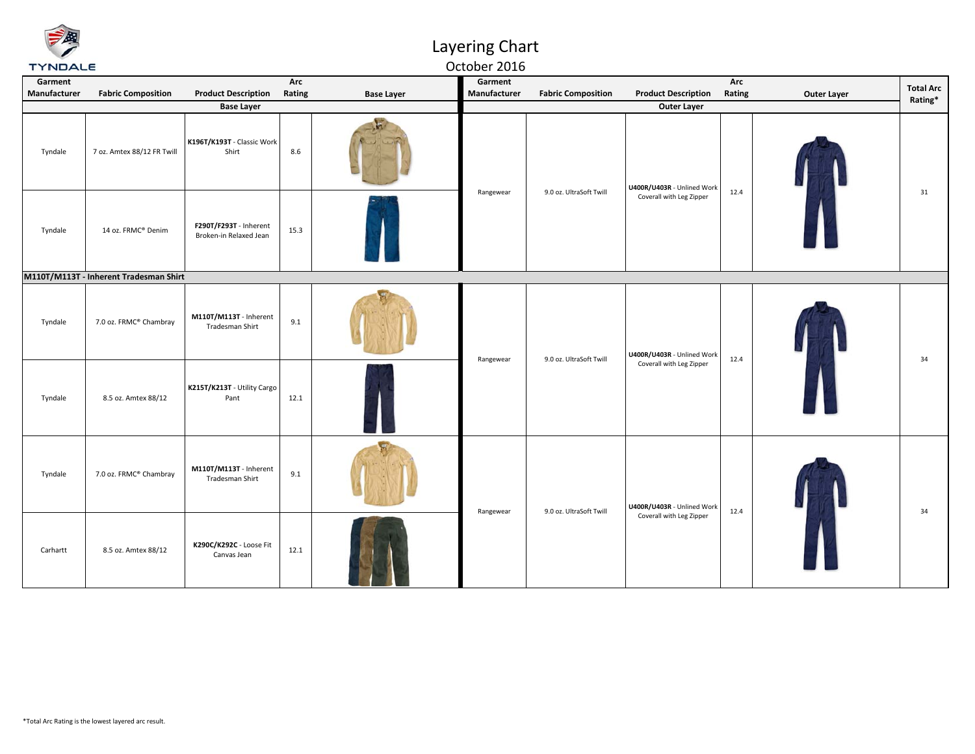

October 2016

| Garment<br>Manufacturer | <b>Fabric Composition</b>              | <b>Product Description</b>                       | Arc<br>Rating | <b>Base Layer</b> | Garment<br>Manufacturer | <b>Fabric Composition</b> | <b>Product Description</b>                             | Arc<br>Rating              | <b>Outer Layer</b> | <b>Total Arc</b> |    |
|-------------------------|----------------------------------------|--------------------------------------------------|---------------|-------------------|-------------------------|---------------------------|--------------------------------------------------------|----------------------------|--------------------|------------------|----|
|                         |                                        | <b>Base Layer</b>                                |               |                   |                         |                           | <b>Outer Layer</b>                                     |                            |                    | Rating*          |    |
| Tyndale                 | 7 oz. Amtex 88/12 FR Twill             | K196T/K193T - Classic Work<br>Shirt              | 8.6           |                   | Rangewear               |                           | 9.0 oz. UltraSoft Twill                                | U400R/U403R - Unlined Work |                    |                  | 31 |
| Tyndale                 | 14 oz. FRMC® Denim                     | F290T/F293T - Inherent<br>Broken-in Relaxed Jean | 15.3          |                   |                         |                           | Coverall with Leg Zipper                               | 12.4                       |                    |                  |    |
|                         | M110T/M113T - Inherent Tradesman Shirt |                                                  |               |                   |                         |                           |                                                        |                            |                    |                  |    |
| Tyndale                 | 7.0 oz. FRMC® Chambray                 | M110T/M113T - Inherent<br>Tradesman Shirt        | 9.1           |                   | Rangewear               | 9.0 oz. UltraSoft Twill   | U400R/U403R - Unlined Work<br>Coverall with Leg Zipper | 12.4                       |                    | 34               |    |
| Tyndale                 | 8.5 oz. Amtex 88/12                    | K215T/K213T - Utility Cargo<br>Pant              | 12.1          |                   |                         |                           |                                                        |                            |                    |                  |    |
| Tyndale                 | 7.0 oz. FRMC® Chambray                 | M110T/M113T - Inherent<br>Tradesman Shirt        | 9.1           |                   |                         | 9.0 oz. UltraSoft Twill   | U400R/U403R - Unlined Work                             | 12.4                       |                    | 34               |    |
| Carhartt                | 8.5 oz. Amtex 88/12                    | K290C/K292C - Loose Fit<br>Canvas Jean           | 12.1          |                   | Rangewear               |                           | Coverall with Leg Zipper                               |                            |                    |                  |    |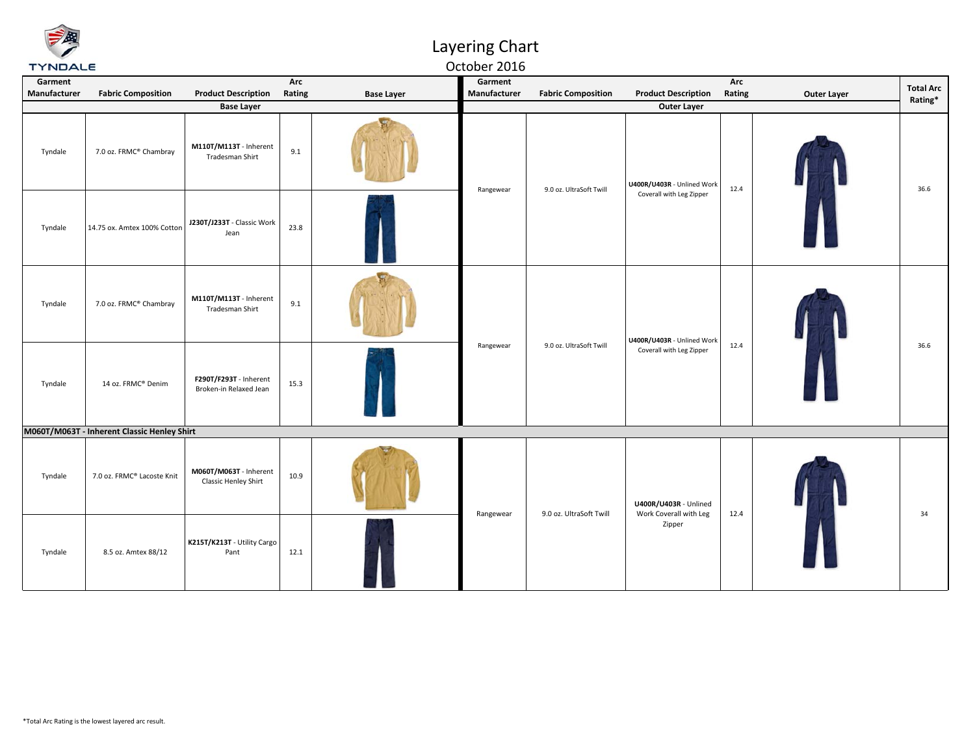October 2016

| Garment<br>Manufacturer | <b>Fabric Composition</b>                   | <b>Product Description</b>                            | Arc<br>Rating | <b>Base Layer</b> | Garment<br>Manufacturer | <b>Fabric Composition</b> | <b>Product Description</b>                             | Arc<br>Rating | Outer Layer | <b>Total Arc</b><br>Rating* |
|-------------------------|---------------------------------------------|-------------------------------------------------------|---------------|-------------------|-------------------------|---------------------------|--------------------------------------------------------|---------------|-------------|-----------------------------|
|                         |                                             | <b>Base Layer</b>                                     |               |                   |                         |                           | <b>Outer Layer</b>                                     |               |             |                             |
| Tyndale                 | 7.0 oz. FRMC® Chambray                      | M110T/M113T - Inherent<br>Tradesman Shirt             | 9.1           |                   | Rangewear               | 9.0 oz. UltraSoft Twill   | U400R/U403R - Unlined Work<br>Coverall with Leg Zipper | 12.4          |             | 36.6                        |
| Tyndale                 | 14.75 ox. Amtex 100% Cotton                 | J230T/J233T - Classic Work<br>Jean                    | 23.8          |                   |                         |                           |                                                        |               |             |                             |
| Tyndale                 | 7.0 oz. FRMC® Chambray                      | M110T/M113T - Inherent<br>Tradesman Shirt             | 9.1           |                   | Rangewear               | 9.0 oz. UltraSoft Twill   | U400R/U403R - Unlined Work<br>Coverall with Leg Zipper | 12.4          |             | 36.6                        |
| Tyndale                 | 14 oz. FRMC® Denim                          | F290T/F293T - Inherent<br>Broken-in Relaxed Jean      | 15.3          |                   |                         |                           |                                                        |               |             |                             |
|                         | M060T/M063T - Inherent Classic Henley Shirt |                                                       |               |                   |                         |                           |                                                        |               |             |                             |
| Tyndale                 | 7.0 oz. FRMC® Lacoste Knit                  | M060T/M063T - Inherent<br><b>Classic Henley Shirt</b> | 10.9          |                   | Rangewear               |                           | U400R/U403R - Unlined                                  | 12.4          |             | 34                          |
| Tyndale                 | 8.5 oz. Amtex 88/12                         | K215T/K213T - Utility Cargo<br>Pant                   | 12.1          |                   |                         | 9.0 oz. UltraSoft Twill   | Work Coverall with Leg<br>Zipper                       |               |             |                             |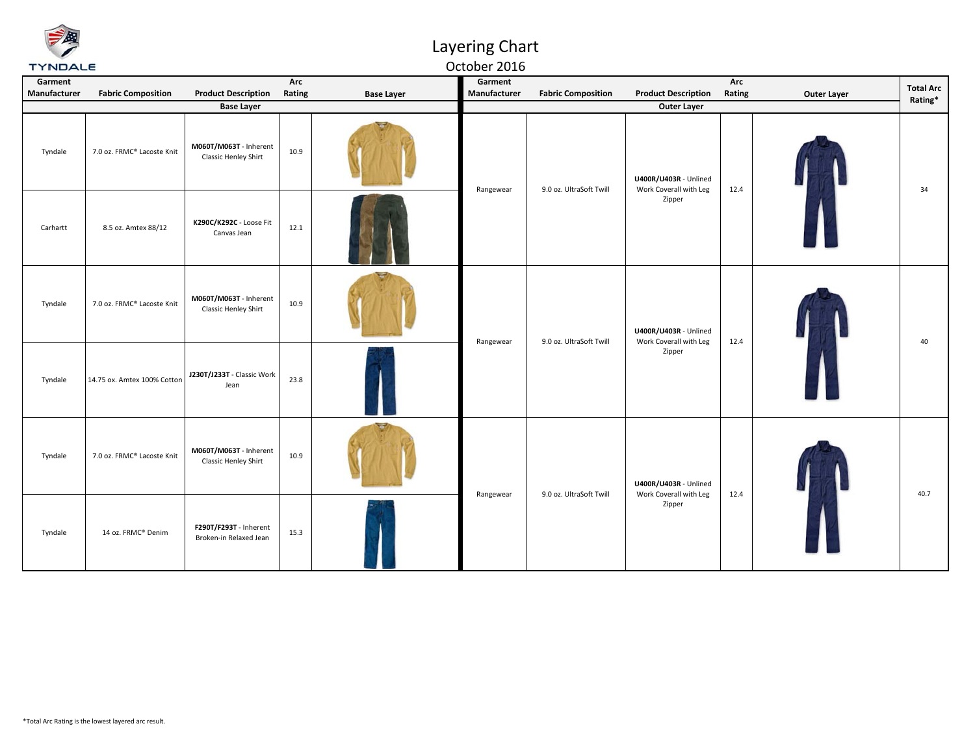October 2016

| Garment<br>Manufacturer | <b>Fabric Composition</b>   | <b>Product Description</b>                       | Arc<br>Rating | <b>Base Layer</b> | Garment<br>Manufacturer | <b>Fabric Composition</b> | <b>Product Description</b>                                | Arc<br>Rating | <b>Outer Layer</b> | <b>Total Arc</b><br>Rating* |
|-------------------------|-----------------------------|--------------------------------------------------|---------------|-------------------|-------------------------|---------------------------|-----------------------------------------------------------|---------------|--------------------|-----------------------------|
|                         |                             | <b>Base Layer</b>                                |               |                   |                         |                           | <b>Outer Layer</b>                                        |               |                    |                             |
| Tyndale                 | 7.0 oz. FRMC® Lacoste Knit  | M060T/M063T - Inherent<br>Classic Henley Shirt   | 10.9          |                   | Rangewear               | 9.0 oz. UltraSoft Twill   | U400R/U403R - Unlined<br>Work Coverall with Leg<br>Zipper | 12.4          |                    | 34                          |
| Carhartt                | 8.5 oz. Amtex 88/12         | K290C/K292C - Loose Fit<br>Canvas Jean           | 12.1          |                   |                         |                           |                                                           |               |                    |                             |
| Tyndale                 | 7.0 oz. FRMC® Lacoste Knit  | M060T/M063T - Inherent<br>Classic Henley Shirt   | 10.9          |                   | Rangewear               | 9.0 oz. UltraSoft Twill   | U400R/U403R - Unlined<br>Work Coverall with Leg<br>Zipper | 12.4          |                    | 40                          |
| Tyndale                 | 14.75 ox. Amtex 100% Cotton | J230T/J233T - Classic Work<br>Jean               | 23.8          |                   |                         |                           |                                                           |               |                    |                             |
| Tyndale                 | 7.0 oz. FRMC® Lacoste Knit  | M060T/M063T - Inherent<br>Classic Henley Shirt   | 10.9          |                   |                         |                           | U400R/U403R - Unlined                                     |               |                    |                             |
| Tyndale                 | 14 oz. FRMC® Denim          | F290T/F293T - Inherent<br>Broken-in Relaxed Jean | 15.3          |                   | Rangewear               | 9.0 oz. UltraSoft Twill   | Work Coverall with Leg<br>Zipper                          | 12.4          |                    | 40.7                        |